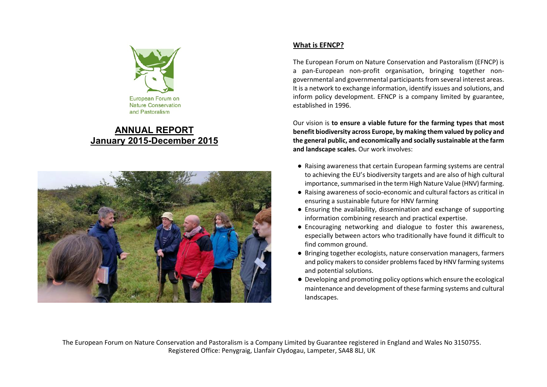

## **ANNUAL REPORT January 2015-December 2015**



## **What is EFNCP?**

The European Forum on Nature Conservation and Pastoralism (EFNCP) is a pan-European non-profit organisation, bringing together nongovernmental and governmental participants from several interest areas. It is a network to exchange information, identify issues and solutions, and inform policy development. EFNCP is a company limited by guarantee, established in 1996.

Our vision is **to ensure a viable future for the farming types that most benefit biodiversity across Europe, by making them valued by policy and the general public, and economically and socially sustainable at the farm and landscape scales.** Our work involves:

- Raising awareness that certain European farming systems are central to achieving the EU's biodiversity targets and are also of high cultural importance, summarised in the term High Nature Value (HNV) farming.
- Raising awareness of socio-economic and cultural factors as critical in ensuring a sustainable future for HNV farming
- Ensuring the availability, dissemination and exchange of supporting information combining research and practical expertise.
- Encouraging networking and dialogue to foster this awareness, especially between actors who traditionally have found it difficult to find common ground.
- Bringing together ecologists, nature conservation managers, farmers and policy makers to consider problems faced by HNV farming systems and potential solutions.
- Developing and promoting policy options which ensure the ecological maintenance and development of these farming systems and cultural landscapes.

The European Forum on Nature Conservation and Pastoralism is a Company Limited by Guarantee registered in England and Wales No 3150755. Registered Office: Penygraig, Llanfair Clydogau, Lampeter, SA48 8LJ, UK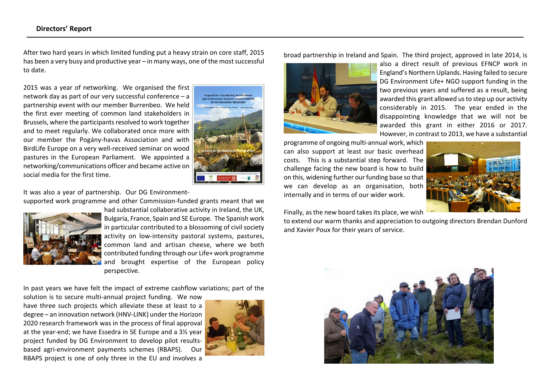After two hard years in which limited funding put a heavy strain on core staff, 2015 has been a very busy and productive year – in many ways, one of the most successful to date.

2015 was a year of networking. We organised the first network day as part of our very successful conference – a partnership event with our member Burrenbeo. We held the first ever meeting of common land stakeholders in Brussels, where the participants resolved to work together and to meet regularly. We collaborated once more with our member the Pogány-havas Association and with BirdLife Europe on a very well-received seminar on wood pastures in the European Parliament. We appointed a networking/communications officer and became active on social media for the first time.



It was also a year of partnership. Our DG Environment-

supported work programme and other Commission-funded grants meant that we



had substantial collaborative activity in Ireland, the UK, Bulgaria, France, Spain and SE Europe. The Spanish work in particular contributed to a blossoming of civil society activity on low-intensity pastoral systems, pastures, common land and artisan cheese, where we both contributed funding through our Life+ work programme and brought expertise of the European policy perspective.

In past years we have felt the impact of extreme cashflow variations; part of the

solution is to secure multi-annual project funding. We now have three such projects which alleviate these at least to a degree – an innovation network (HNV-LINK) under the Horizon 2020 research framework was in the process of final approval at the year-end; we have Essedra in SE Europe and a 3½ year project funded by DG Environment to develop pilot resultsbased agri-environment payments schemes (RBAPS). Our RBAPS project is one of only three in the EU and involves a



broad partnership in Ireland and Spain. The third project, approved in late 2014, is



also a direct result of previous EFNCP work in England's Northern Uplands. Having failed to secure DG Environment Life+ NGO support funding in the two previous years and suffered as a result, being awarded this grant allowed us to step up our activity considerably in 2015. The year ended in the disappointing knowledge that we will not be awarded this grant in either 2016 or 2017. However, in contrast to 2013, we have a substantial

programme of ongoing multi-annual work, which can also support at least our basic overhead costs. This is a substantial step forward. The challenge facing the new board is how to build on this, widening further our funding base so that we can develop as an organisation, both internally and in terms of our wider work.



Finally, as the new board takes its place, we wish

to extend our warm thanks and appreciation to outgoing directors Brendan Dunford and Xavier Poux for their years of service.

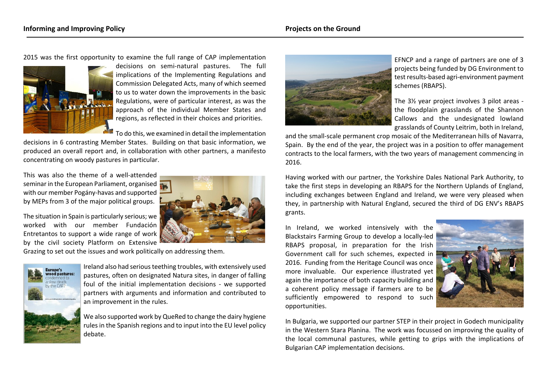2015 was the first opportunity to examine the full range of CAP implementation



decisions on semi-natural pastures. The full implications of the Implementing Regulations and Commission Delegated Acts, many of which seemed to us to water down the improvements in the basic Regulations, were of particular interest, as was the approach of the individual Member States and regions, as reflected in their choices and priorities.

To do this, we examined in detail the implementation

decisions in 6 contrasting Member States. Building on that basic information, we produced an overall report and, in collaboration with other partners, a manifesto concentrating on woody pastures in particular.

This was also the theme of a well-attended seminar in the European Parliament, organised with our member Pogány-havas and supported by MEPs from 3 of the major political groups.

The situation in Spain is particularly serious; we worked with our member Fundación Entretantos to support a wide range of work by the civil society Platform on Extensive





Ireland also had serious teething troubles, with extensively used pastures, often on designated Natura sites, in danger of falling foul of the initial implementation decisions - we supported partners with arguments and information and contributed to an improvement in the rules.

We also supported work by QueRed to change the dairy hygiene rules in the Spanish regions and to input into the EU level policy debate.



EFNCP and a range of partners are one of 3 projects being funded by DG Environment to test results-based agri-environment payment schemes (RBAPS).

The 3½ year project involves 3 pilot areas the floodplain grasslands of the Shannon Callows and the undesignated lowland grasslands of County Leitrim, both in Ireland,

and the small-scale permanent crop mosaic of the Mediterranean hills of Navarra, Spain. By the end of the year, the project was in a position to offer management contracts to the local farmers, with the two years of management commencing in 2016.

Having worked with our partner, the Yorkshire Dales National Park Authority, to take the first steps in developing an RBAPS for the Northern Uplands of England, including exchanges between England and Ireland, we were very pleased when they, in partnership with Natural England, secured the third of DG ENV's RBAPS grants.

In Ireland, we worked intensively with the Blackstairs Farming Group to develop a locally-led RBAPS proposal, in preparation for the Irish Government call for such schemes, expected in 2016. Funding from the Heritage Council was once more invaluable. Our experience illustrated yet again the importance of both capacity building and a coherent policy message if farmers are to be sufficiently empowered to respond to such opportunities.



In Bulgaria, we supported our partner STEP in their project in Godech municipality in the Western Stara Planina. The work was focussed on improving the quality of the local communal pastures, while getting to grips with the implications of Bulgarian CAP implementation decisions.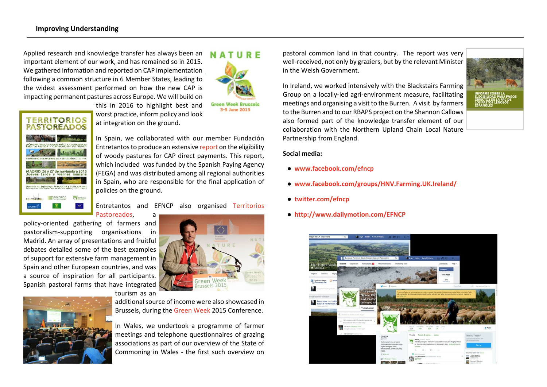Applied research and knowledge transfer has always been an important element of our work, and has remained so in 2015. We gathered infomation and reported on CAP implementation following a common structure in 6 Member States, leading to the widest assessment performed on how the new CAP is impacting permanent pastures across Europe. We will build on



this in 2016 to highlight best and worst practice, inform policy and look at integration on the ground.



In Spain, we collaborated with our member Fundación Entretantos to produce an extensive [report](http://www.ganaderiaextensiva.org/InformeElegibilidadPastos.pdf) on the eligibility of woody pastures for CAP direct payments. This report, which included was funded by the Spanish Paying Agency (FEGA) and was distributed among all regional authorities in Spain, who are responsible for the final application of policies on the ground.

Entretantos and EFNCP also organised [Territorios](http://www.ganaderiaextensiva.org/memoria_territoriospastoreados/) [Pastoreados,](http://www.ganaderiaextensiva.org/memoria_territoriospastoreados/) a

policy-oriented gathering of farmers and pastoralism-supporting organisations in Madrid. An array of presentations and fruitful debates detailed some of the best examples of support for extensive farm management in Spain and other European countries, and was a source of inspiration for all participants. Spanish pastoral farms that have integrated tourism as an



additional source of income were also showcased in Brussels, during the [Green Week](http://efncp.org/events/seminars-others/green-week-brussels2015/) 2015 Conference.

In Wales, we undertook a programme of farmer meetings and telephone questionnaires of grazing associations as part of our overview of the State of Commoning in Wales - the first such overview on pastoral common land in that country. The report was very well-received, not only by graziers, but by the relevant Minister in the Welsh Government.

In Ireland, we worked intensively with the Blackstairs Farming Group on a locally-led agri-environment measure, facilitating meetings and organising a visit to the Burren. A visit by farmers to the Burren and to our RBAPS project on the Shannon Callows also formed part of the knowledge transfer element of our collaboration with the Northern Upland Chain Local Nature Partnership from England.



**Social media:**

- **● <www.facebook.com/efncp>**
- **● <www.facebook.com/groups/HNV.Farming.UK.Ireland/>**
- **● [twitter.com/efncp](https://twitter.com/efncp)**
- **● [http://www.dailymotion.com/EFNCP](https://twitter.com/efncp)**

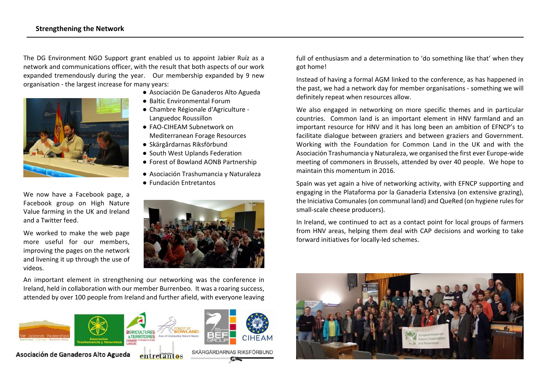The DG Environment NGO Support grant enabled us to appoint Jabier Ruíz as a network and communications officer, with the result that both aspects of our work expanded tremendously during the year. Our membership expanded by 9 new organisation - the largest increase for many years:



We now have a Facebook page, a Facebook group on High Nature Value farming in the UK and Ireland and a Twitter feed.

We worked to make the web page more useful for our members, improving the pages on the network and livening it up through the use of videos.

- Asociación De Ganaderos Alto Agueda
- Baltic Environmental Forum
- Chambre Régionale d'Agriculture Languedoc Roussillon
- FAO-CIHEAM Subnetwork on Mediterranean Forage Resources
- Skärgårdarnas Riksförbund
- South West Uplands Federation
- Forest of Bowland AONB Partnership
- Asociación Trashumancia y Naturaleza
- Fundación Entretantos



An important element in strengthening our networking was the conference in Ireland, held in collaboration with our member Burrenbeo. It was a roaring success, attended by over 100 people from Ireland and further afield, with everyone leaving



full of enthusiasm and a determination to 'do something like that' when they got home!

Instead of having a formal AGM linked to the conference, as has happened in the past, we had a network day for member organisations - something we will definitely repeat when resources allow.

We also engaged in networking on more specific themes and in particular countries. Common land is an important element in HNV farmland and an important resource for HNV and it has long been an ambition of EFNCP's to facilitate dialogue between graziers and between graziers and Government. Working with the Foundation for Common Land in the UK and with the Asociación Trashumancia y Naturaleza, we organised the first ever Europe-wide meeting of commoners in Brussels, attended by over 40 people. We hope to maintain this momentum in 2016.

Spain was yet again a hive of networking activity, with EFNCP supporting and engaging in the Plataforma por la Ganaderia Extensiva (on extensive grazing), the Iniciativa Comunales (on communal land) and QueRed (on hygiene rules for small-scale cheese producers).

In Ireland, we continued to act as a contact point for local groups of farmers from HNV areas, helping them deal with CAP decisions and working to take forward initiatives for locally-led schemes.